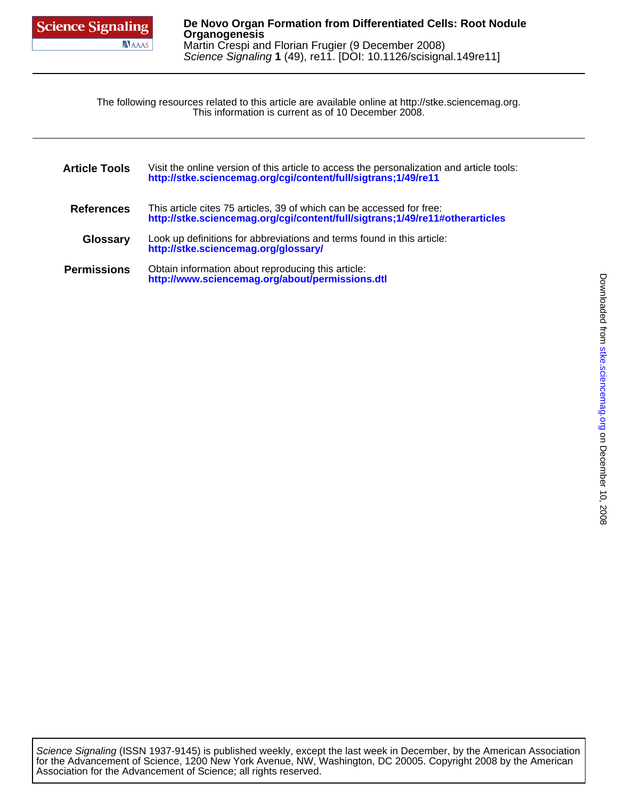

This information is current as of 10 December 2008. The following resources related to this article are available online at http://stke.sciencemag.org.

| <b>Article Tools</b> | Visit the online version of this article to access the personalization and article tools:<br>http://stke.sciencemag.org/cgi/content/full/sigtrans;1/49/re11 |
|----------------------|-------------------------------------------------------------------------------------------------------------------------------------------------------------|
| <b>References</b>    | This article cites 75 articles, 39 of which can be accessed for free:<br>http://stke.sciencemag.org/cgi/content/full/sigtrans;1/49/re11#otherarticles       |
| Glossary             | Look up definitions for abbreviations and terms found in this article:<br>http://stke.sciencemag.org/glossary/                                              |
| <b>Permissions</b>   | Obtain information about reproducing this article:<br>http://www.sciencemag.org/about/permissions.dtl                                                       |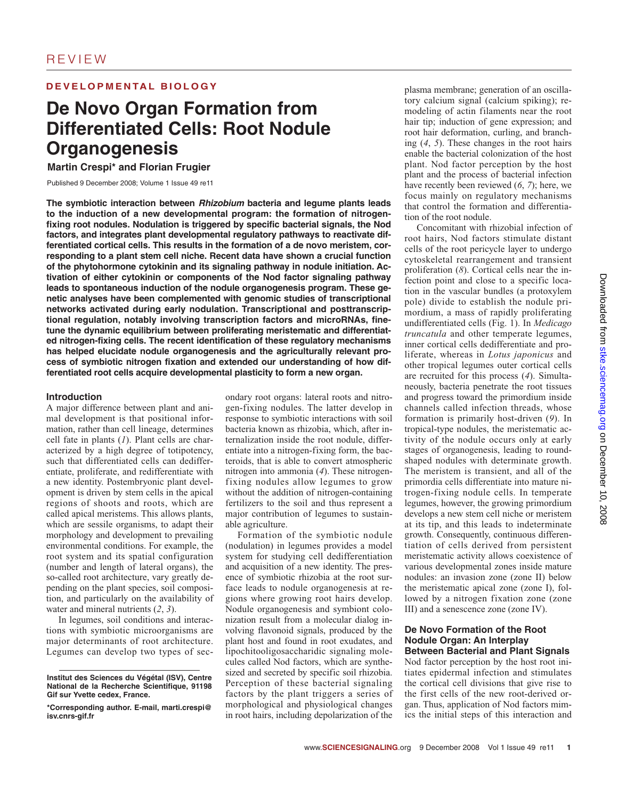# **DEVELOPMENTAL BIOLOGY**

# **De Novo Organ Formation from Differentiated Cells: Root Nodule Organogenesis**

## **Martin Crespi\* and Florian Frugier**

Published 9 December 2008; Volume 1 Issue 49 re11

**The symbiotic interaction between Rhizobium bacteria and legume plants leads to the induction of a new developmental program: the formation of nitrogenfixing root nodules. Nodulation is triggered by specific bacterial signals, the Nod factors, and integrates plant developmental regulatory pathways to reactivate differentiated cortical cells. This results in the formation of a de novo meristem, corresponding to a plant stem cell niche. Recent data have shown a crucial function of the phytohormone cytokinin and its signaling pathway in nodule initiation. Activation of either cytokinin or components of the Nod factor signaling pathway leads to spontaneous induction of the nodule organogenesis program. These genetic analyses have been complemented with genomic studies of transcriptional networks activated during early nodulation. Transcriptional and posttranscriptional regulation, notably involving transcription factors and microRNAs, finetune the dynamic equilibrium between proliferating meristematic and differentiated nitrogen-fixing cells. The recent identification of these regulatory mechanisms has helped elucidate nodule organogenesis and the agriculturally relevant process of symbiotic nitrogen fixation and extended our understanding of how differentiated root cells acquire developmental plasticity to form a new organ.**

#### **Introduction**

A major difference between plant and animal development is that positional information, rather than cell lineage, determines cell fate in plants (*1*). Plant cells are characterized by a high degree of totipotency, such that differentiated cells can dedifferentiate, proliferate, and redifferentiate with a new identity. Postembryonic plant development is driven by stem cells in the apical regions of shoots and roots, which are called apical meristems. This allows plants, which are sessile organisms, to adapt their morphology and development to prevailing environmental conditions. For example, the root system and its spatial configuration (number and length of lateral organs), the so-called root architecture, vary greatly depending on the plant species, soil composition, and particularly on the availability of water and mineral nutrients (*2*, *3*).

In legumes, soil conditions and interactions with symbiotic microorganisms are major determinants of root architecture. Legumes can develop two types of secondary root organs: lateral roots and nitrogen-fixing nodules. The latter develop in response to symbiotic interactions with soil bacteria known as rhizobia, which, after internalization inside the root nodule, differentiate into a nitrogen-fixing form, the bacteroids, that is able to convert atmospheric nitrogen into ammonia (*4*). These nitrogenfixing nodules allow legumes to grow without the addition of nitrogen-containing fertilizers to the soil and thus represent a major contribution of legumes to sustainable agriculture.

Formation of the symbiotic nodule (nodulation) in legumes provides a model system for studying cell dedifferentiation and acquisition of a new identity. The presence of symbiotic rhizobia at the root surface leads to nodule organogenesis at regions where growing root hairs develop. Nodule organogenesis and symbiont colonization result from a molecular dialog involving flavonoid signals, produced by the plant host and found in root exudates, and lipochitooligosaccharidic signaling molecules called Nod factors, which are synthesized and secreted by specific soil rhizobia. Perception of these bacterial signaling factors by the plant triggers a series of morphological and physiological changes in root hairs, including depolarization of the

plasma membrane; generation of an oscillatory calcium signal (calcium spiking); remodeling of actin filaments near the root hair tip; induction of gene expression; and root hair deformation, curling, and branching (*4*, *5*). These changes in the root hairs enable the bacterial colonization of the host plant. Nod factor perception by the host plant and the process of bacterial infection have recently been reviewed (*6*, *7*); here, we focus mainly on regulatory mechanisms that control the formation and differentiation of the root nodule.

Concomitant with rhizobial infection of root hairs, Nod factors stimulate distant cells of the root pericycle layer to undergo cytoskeletal rearrangement and transient proliferation (*8*). Cortical cells near the infection point and close to a specific location in the vascular bundles (a protoxylem pole) divide to establish the nodule primordium, a mass of rapidly proliferating undifferentiated cells (Fig. 1). In *Medicago truncatula* and other temperate legumes, inner cortical cells dedifferentiate and proliferate, whereas in *Lotus japonicus* and other tropical legumes outer cortical cells are recruited for this process (*4*). Simultaneously, bacteria penetrate the root tissues and progress toward the primordium inside channels called infection threads, whose formation is primarily host-driven (*9*). In tropical-type nodules, the meristematic activity of the nodule occurs only at early stages of organogenesis, leading to roundshaped nodules with determinate growth. The meristem is transient, and all of the primordia cells differentiate into mature nitrogen-fixing nodule cells. In temperate legumes, however, the growing primordium develops a new stem cell niche or meristem at its tip, and this leads to indeterminate growth. Consequently, continuous differentiation of cells derived from persistent meristematic activity allows coexistence of various developmental zones inside mature nodules: an invasion zone (zone II) below the meristematic apical zone (zone I), followed by a nitrogen fixation zone (zone III) and a senescence zone (zone IV).

#### **De Novo Formation of the Root Nodule Organ: An Interplay Between Bacterial and Plant Signals**

Nod factor perception by the host root initiates epidermal infection and stimulates the cortical cell divisions that give rise to the first cells of the new root-derived organ. Thus, application of Nod factors mimics the initial steps of this interaction and

**Institut des Sciences du Végétal (ISV), Centre National de la Recherche Scientifique, 91198 Gif sur Yvette cedex, France.**

**<sup>\*</sup>Corresponding author. E-mail, marti.crespi@ isv.cnrs-gif.fr**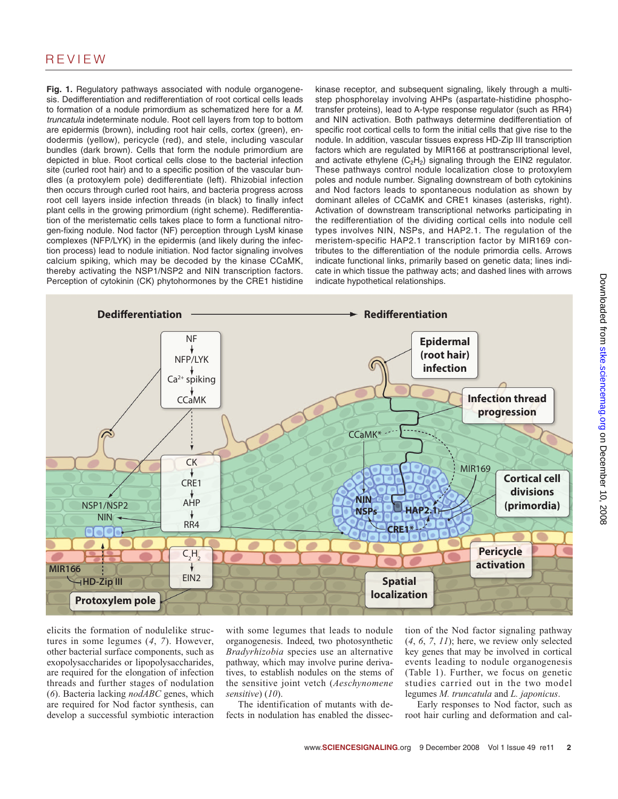**Fig. 1.** Regulatory pathways associated with nodule organogenesis. Dedifferentiation and redifferentiation of root cortical cells leads to formation of a nodule primordium as schematized here for a M. truncatula indeterminate nodule. Root cell layers from top to bottom are epidermis (brown), including root hair cells, cortex (green), endodermis (yellow), pericycle (red), and stele, including vascular bundles (dark brown). Cells that form the nodule primordium are depicted in blue. Root cortical cells close to the bacterial infection site (curled root hair) and to a specific position of the vascular bundles (a protoxylem pole) dedifferentiate (left). Rhizobial infection then occurs through curled root hairs, and bacteria progress across root cell layers inside infection threads (in black) to finally infect plant cells in the growing primordium (right scheme). Redifferentiation of the meristematic cells takes place to form a functional nitrogen-fixing nodule. Nod factor (NF) perception through LysM kinase complexes (NFP/LYK) in the epidermis (and likely during the infection process) lead to nodule initiation. Nod factor signaling involves calcium spiking, which may be decoded by the kinase CCaMK, thereby activating the NSP1/NSP2 and NIN transcription factors. Perception of cytokinin (CK) phytohormones by the CRE1 histidine

kinase receptor, and subsequent signaling, likely through a multistep phosphorelay involving AHPs (aspartate-histidine phosphotransfer proteins), lead to A-type response regulator (such as RR4) and NIN activation. Both pathways determine dedifferentiation of specific root cortical cells to form the initial cells that give rise to the nodule. In addition, vascular tissues express HD-Zip III transcription factors which are regulated by MIR166 at posttranscriptional level, and activate ethylene  $(C_2H_2)$  signaling through the EIN2 regulator. These pathways control nodule localization close to protoxylem poles and nodule number. Signaling downstream of both cytokinins and Nod factors leads to spontaneous nodulation as shown by dominant alleles of CCaMK and CRE1 kinases (asterisks, right). Activation of downstream transcriptional networks participating in the redifferentiation of the dividing cortical cells into nodule cell types involves NIN, NSPs, and HAP2.1. The regulation of the meristem-specific HAP2.1 transcription factor by MIR169 contributes to the differentiation of the nodule primordia cells. Arrows indicate functional links, primarily based on genetic data; lines indicate in which tissue the pathway acts; and dashed lines with arrows indicate hypothetical relationships.



elicits the formation of nodulelike structures in some legumes (*4*, *7*). However, other bacterial surface components, such as exopolysaccharides or lipopolysaccharides, are required for the elongation of infection threads and further stages of nodulation (*6*). Bacteria lacking *nodABC* genes, which are required for Nod factor synthesis, can develop a successful symbiotic interaction

with some legumes that leads to nodule organogenesis. Indeed, two photosynthetic *Bradyrhizobia* species use an alternative pathway, which may involve purine derivatives, to establish nodules on the stems of the sensitive joint vetch (*Aeschynomene sensitive*) (*10*).

The identification of mutants with defects in nodulation has enabled the dissection of the Nod factor signaling pathway (*4*, *6*, *7*, *11*); here, we review only selected key genes that may be involved in cortical events leading to nodule organogenesis (Table 1). Further, we focus on genetic studies carried out in the two model legumes *M. truncatula* and *L. japonicus*.

Early responses to Nod factor, such as root hair curling and deformation and cal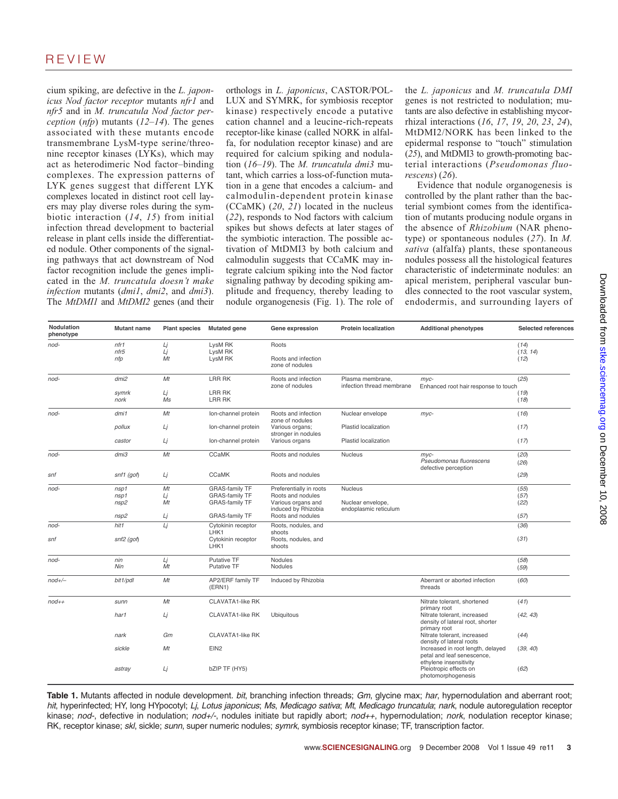cium spiking, are defective in the *L. japonicus Nod factor receptor* mutants *nfr1* and *nfr5* and in *M. truncatula Nod factor perception*  $(nfp)$  *mutants*  $(12–14)$ *. The genes* associated with these mutants encode transmembrane LysM-type serine/threonine receptor kinases (LYKs), which may act as heterodimeric Nod factor–binding complexes. The expression patterns of LYK genes suggest that different LYK complexes located in distinct root cell layers may play diverse roles during the symbiotic interaction (*14*, *15*) from initial infection thread development to bacterial release in plant cells inside the differentiated nodule. Other components of the signaling pathways that act downstream of Nod factor recognition include the genes implicated in the *M. truncatula doesn't make infection* mutants (*dmi1*, *dmi2*, and *dmi3*). The *MtDMI1* and *MtDMI2* genes (and their

orthologs in *L. japonicus*, CASTOR/POL-LUX and SYMRK, for symbiosis receptor kinase) respectively encode a putative cation channel and a leucine-rich-repeats receptor-like kinase (called NORK in alfalfa, for nodulation receptor kinase) and are required for calcium spiking and nodulation (*16*–*19*). The *M. truncatula dmi3* mutant, which carries a loss-of-function mutation in a gene that encodes a calcium- and calmodulin-dependent protein kinase (CCaMK) (*20*, *21*) located in the nucleus (*22*), responds to Nod factors with calcium spikes but shows defects at later stages of the symbiotic interaction. The possible activation of MtDMI3 by both calcium and calmodulin suggests that CCaMK may integrate calcium spiking into the Nod factor signaling pathway by decoding spiking amplitude and frequency, thereby leading to nodule organogenesis (Fig. 1). The role of

the *L. japonicus* and *M. truncatula DMI* genes is not restricted to nodulation; mutants are also defective in establishing mycorrhizal interactions (*16*, *17*, *19*, *20*, *23*, *24*), MtDMI2/NORK has been linked to the epidermal response to "touch" stimulation (*25*), and MtDMI3 to growth-promoting bacterial interactions (*Pseudomonas fluorescens*) (*26*).

Evidence that nodule organogenesis is controlled by the plant rather than the bacterial symbiont comes from the identification of mutants producing nodule organs in the absence of *Rhizobium* (NAR phenotype) or spontaneous nodules (*27*). In *M. sativa* (alfalfa) plants, these spontaneous nodules possess all the histological features characteristic of indeterminate nodules: an apical meristem, peripheral vascular bundles connected to the root vascular system, endodermis, and surrounding layers of

| Nodulation<br>phenotype | <b>Mutant name</b>   | <b>Plant species</b> | <b>Mutated gene</b>                                                                              | Gene expression                                                                                                | <b>Protein localization</b>                           | <b>Additional phenotypes</b>                                                                    | Selected references          |
|-------------------------|----------------------|----------------------|--------------------------------------------------------------------------------------------------|----------------------------------------------------------------------------------------------------------------|-------------------------------------------------------|-------------------------------------------------------------------------------------------------|------------------------------|
| nod-                    | nfr1<br>nfr5<br>nfp  | Lj<br>Lj<br>Mt       | LysM RK<br>LysM RK<br>LysM RK                                                                    | Roots<br>Roots and infection<br>zone of nodules                                                                |                                                       |                                                                                                 | (14)<br>(13, 14)<br>(12)     |
| nod-                    | dmi2                 | Mt                   | <b>LRR RK</b>                                                                                    | Roots and infection<br>zone of nodules                                                                         | Plasma membrane.<br>infection thread membrane         | $myc-$<br>Enhanced root hair response to touch                                                  | (25)                         |
|                         | symrk<br>nork        | Lj<br>Ms             | LRR RK<br><b>LRR RK</b>                                                                          |                                                                                                                |                                                       |                                                                                                 | (19)<br>(18)                 |
| nod-                    | dmi1                 | Mt                   | Ion-channel protein                                                                              | Roots and infection<br>zone of nodules                                                                         | Nuclear envelope                                      | $myc-$                                                                                          | (16)                         |
|                         | pollux               | Lj                   | Ion-channel protein                                                                              | Various organs:<br>stronger in nodules                                                                         | Plastid localization                                  |                                                                                                 | (17)                         |
|                         | castor               | Lj                   | Ion-channel protein                                                                              | Various organs                                                                                                 | Plastid localization                                  |                                                                                                 | (17)                         |
| nod-                    | dmi3                 | Mt                   | CCaMK                                                                                            | Roots and nodules                                                                                              | Nucleus                                               | $myc-$<br>Pseudomonas fluorescens<br>defective perception                                       | (20)<br>(26)                 |
| snf                     | snf1 (gof)           | Lj                   | CCaMK                                                                                            | Roots and nodules                                                                                              |                                                       |                                                                                                 | (29)                         |
| nod-                    | nsp1<br>nsp1<br>nsp2 | Mt<br>Lj<br>Mt<br>Lj | <b>GRAS-family TF</b><br><b>GRAS-family TF</b><br><b>GRAS-family TF</b><br><b>GRAS-family TF</b> | Preferentially in roots<br>Roots and nodules<br>Various organs and<br>induced by Rhizobia<br>Roots and nodules | Nucleus<br>Nuclear envelope,<br>endoplasmic reticulum |                                                                                                 | (55)<br>(57)<br>(22)<br>(57) |
| nod-                    | nsp2<br>hit1         | Li                   | Cytokinin receptor                                                                               | Roots, nodules, and                                                                                            |                                                       |                                                                                                 | (36)                         |
| snf                     | snf2 (gof)           |                      | LHK1<br>Cytokinin receptor<br>LHK1                                                               | shoots<br>Roots, nodules, and<br>shoots                                                                        |                                                       |                                                                                                 | (31)                         |
| nod-                    | nin<br>Nin           | Lj<br>Mt             | Putative TF<br>Putative TF                                                                       | Nodules<br>Nodules                                                                                             |                                                       |                                                                                                 | (58)<br>(59)                 |
| $nod+/$                 | bit1/pdl             | Mt                   | AP2/ERF family TF<br>(ERN1)                                                                      | Induced by Rhizobia                                                                                            |                                                       | Aberrant or aborted infection<br>threads                                                        | (60)                         |
| $nod++$                 | sunn                 | Mt                   | <b>CLAVATA1-like RK</b>                                                                          |                                                                                                                |                                                       | Nitrate tolerant, shortened                                                                     | (41)                         |
|                         | har1                 | Lj                   | CLAVATA1-like RK                                                                                 | <b>Ubiquitous</b>                                                                                              |                                                       | primary root<br>Nitrate tolerant, increased<br>density of lateral root, shorter<br>primary root | (42, 43)                     |
|                         | nark                 | Gm                   | <b>CLAVATA1-like RK</b>                                                                          |                                                                                                                |                                                       | Nitrate tolerant, increased<br>density of lateral roots                                         | (44)                         |
|                         | sickle               | Mt                   | EIN <sub>2</sub>                                                                                 |                                                                                                                |                                                       | Increased in root length, delayed<br>petal and leaf senescence,<br>ethylene insensitivity       | (39, 40)                     |
|                         | astray               | Lj                   | bZIP TF (HY5)                                                                                    |                                                                                                                |                                                       | Pleiotropic effects on<br>photomorphogenesis                                                    | (62)                         |

Table 1. Mutants affected in nodule development. bit, branching infection threads; Gm, glycine max; har, hypernodulation and aberrant root; hit, hyperinfected; HY, long HYpocotyl; Lj, Lotus japonicus; Ms, Medicago sativa; Mt, Medicago truncatula; nark, nodule autoregulation receptor kinase; nod-, defective in nodulation; nod+/-, nodules initiate but rapidly abort; nod++, hypernodulation; nork, nodulation receptor kinase; RK, receptor kinase; skl, sickle; sunn, super numeric nodules; symrk, symbiosis receptor kinase; TF, transcription factor.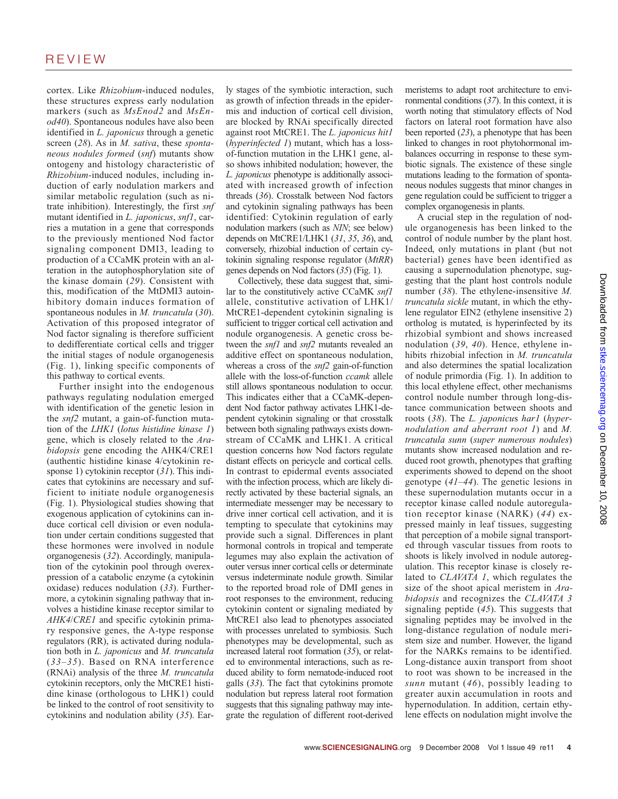cortex. Like *Rhizobium*-induced nodules, these structures express early nodulation markers (such as *MsEnod2* and *MsEnod40*). Spontaneous nodules have also been identified in *L. japonicus* through a genetic screen (*28*). As in *M. sativa*, these *spontaneous nodules formed* (*snf*) mutants show ontogeny and histology characteristic of *Rhizobium-*induced nodules, including induction of early nodulation markers and similar metabolic regulation (such as nitrate inhibition). Interestingly, the first *snf* mutant identified in *L. japonicus*, *snf1*, carries a mutation in a gene that corresponds to the previously mentioned Nod factor signaling component DMI3, leading to production of a CCaMK protein with an alteration in the autophosphorylation site of the kinase domain (*29*). Consistent with this, modification of the MtDMI3 autoinhibitory domain induces formation of spontaneous nodules in *M. truncatula* (*30*). Activation of this proposed integrator of Nod factor signaling is therefore sufficient to dedifferentiate cortical cells and trigger the initial stages of nodule organogenesis (Fig. 1), linking specific components of this pathway to cortical events.

Further insight into the endogenous pathways regulating nodulation emerged with identification of the genetic lesion in the *snf2* mutant, a gain-of-function mutation of the *LHK1* (*lotus histidine kinase 1*) gene, which is closely related to the *Arabidopsis* gene encoding the AHK4/CRE1 (authentic histidine kinase 4/cytokinin response 1) cytokinin receptor (*31*). This indicates that cytokinins are necessary and sufficient to initiate nodule organogenesis (Fig. 1). Physiological studies showing that exogenous application of cytokinins can induce cortical cell division or even nodulation under certain conditions suggested that these hormones were involved in nodule organogenesis (*32*). Accordingly, manipulation of the cytokinin pool through overexpression of a catabolic enzyme (a cytokinin oxidase) reduces nodulation (*33*). Furthermore, a cytokinin signaling pathway that involves a histidine kinase receptor similar to *AHK4*/*CRE1* and specific cytokinin primary responsive genes, the A-type response regulators (RR), is activated during nodulation both in *L. japonicus* and *M. truncatula* (*33*–*35*). Based on RNA interference (RNAi) analysis of the three *M. truncatula* cytokinin receptors, only the MtCRE1 histidine kinase (orthologous to LHK1) could be linked to the control of root sensitivity to cytokinins and nodulation ability (*35*). Ear-

ly stages of the symbiotic interaction, such as growth of infection threads in the epidermis and induction of cortical cell division, are blocked by RNAi specifically directed against root MtCRE1. The *L. japonicus hit1* (*hyperinfected 1*) mutant, which has a lossof-function mutation in the LHK1 gene, also shows inhibited nodulation; however, the *L. japonicus* phenotype is additionally associated with increased growth of infection threads (*36*). Crosstalk between Nod factors and cytokinin signaling pathways has been identified: Cytokinin regulation of early nodulation markers (such as *NIN*; see below) depends on MtCRE1/LHK1 (*31*, *35*, *36*), and, conversely, rhizobial induction of certain cytokinin signaling response regulator (*MtRR*) genes depends on Nod factors (*35*) (Fig. 1).

Collectively, these data suggest that, similar to the constitutively active CCaMK *snf1* allele, constitutive activation of LHK1/ MtCRE1-dependent cytokinin signaling is sufficient to trigger cortical cell activation and nodule organogenesis. A genetic cross between the *snf1* and *snf2* mutants revealed an additive effect on spontaneous nodulation, whereas a cross of the *snf2* gain-of-function allele with the loss-of-function *ccamk* allele still allows spontaneous nodulation to occur. This indicates either that a CCaMK-dependent Nod factor pathway activates LHK1-dependent cytokinin signaling or that crosstalk between both signaling pathways exists downstream of CCaMK and LHK1. A critical question concerns how Nod factors regulate distant effects on pericycle and cortical cells. In contrast to epidermal events associated with the infection process, which are likely directly activated by these bacterial signals, an intermediate messenger may be necessary to drive inner cortical cell activation, and it is tempting to speculate that cytokinins may provide such a signal. Differences in plant hormonal controls in tropical and temperate legumes may also explain the activation of outer versus inner cortical cells or determinate versus indeterminate nodule growth. Similar to the reported broad role of DMI genes in root responses to the environment, reducing cytokinin content or signaling mediated by MtCRE1 also lead to phenotypes associated with processes unrelated to symbiosis. Such phenotypes may be developmental, such as increased lateral root formation (*35*), or related to environmental interactions, such as reduced ability to form nematode-induced root galls (*33*). The fact that cytokinins promote nodulation but repress lateral root formation suggests that this signaling pathway may integrate the regulation of different root-derived

meristems to adapt root architecture to environmental conditions (*37*). In this context, it is worth noting that stimulatory effects of Nod factors on lateral root formation have also been reported (*23*), a phenotype that has been linked to changes in root phytohormonal imbalances occurring in response to these symbiotic signals. The existence of these single mutations leading to the formation of spontaneous nodules suggests that minor changes in gene regulation could be sufficient to trigger a complex organogenesis in plants.

A crucial step in the regulation of nodule organogenesis has been linked to the control of nodule number by the plant host. Indeed, only mutations in plant (but not bacterial) genes have been identified as causing a supernodulation phenotype, suggesting that the plant host controls nodule number (*38*). The ethylene-insensitive *M. truncatula sickle* mutant, in which the ethylene regulator EIN2 (ethylene insensitive 2) ortholog is mutated, is hyperinfected by its rhizobial symbiont and shows increased nodulation (*39*, *40*). Hence, ethylene inhibits rhizobial infection in *M. truncatula* and also determines the spatial localization of nodule primordia (Fig. 1). In addition to this local ethylene effect, other mechanisms control nodule number through long-distance communication between shoots and roots (*38*). The *L. japonicu*s *har1* (*hypernodulation and aberrant root 1*) and *M. truncatula sunn* (*super numerous nodules*) mutants show increased nodulation and reduced root growth, phenotypes that grafting experiments showed to depend on the shoot genotype (*41*–*44*). The genetic lesions in these supernodulation mutants occur in a receptor kinase called nodule autoregulation receptor kinase (NARK) (*44*) expressed mainly in leaf tissues, suggesting that perception of a mobile signal transported through vascular tissues from roots to shoots is likely involved in nodule autoregulation. This receptor kinase is closely related to *CLAVATA 1*, which regulates the size of the shoot apical meristem in *Arabidopsis* and recognizes the *CLAVATA 3* signaling peptide (*45*). This suggests that signaling peptides may be involved in the long-distance regulation of nodule meristem size and number. However, the ligand for the NARKs remains to be identified. Long-distance auxin transport from shoot to root was shown to be increased in the *sunn* mutant (*46*), possibly leading to greater auxin accumulation in roots and hypernodulation. In addition, certain ethylene effects on nodulation might involve the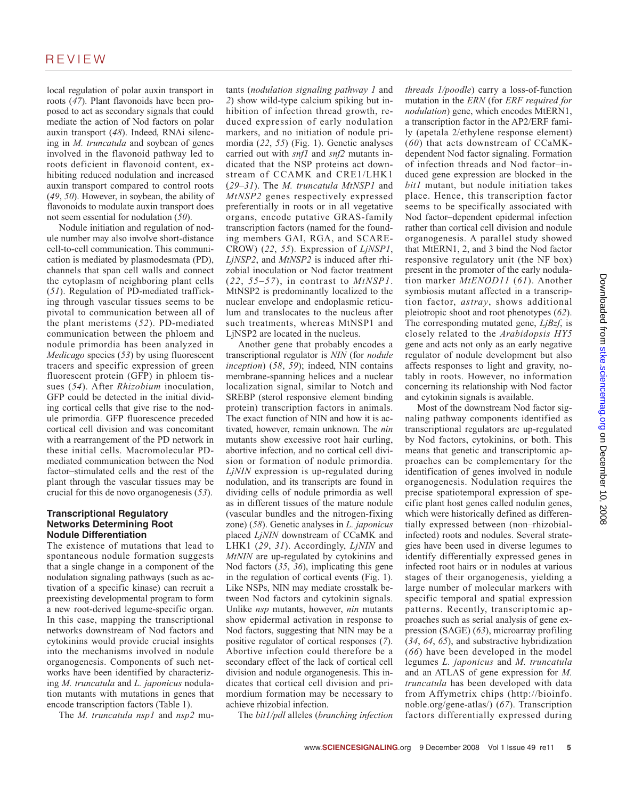local regulation of polar auxin transport in roots (*47*). Plant flavonoids have been proposed to act as secondary signals that could mediate the action of Nod factors on polar auxin transport (*48*). Indeed, RNAi silencing in *M. truncatula* and soybean of genes involved in the flavonoid pathway led to roots deficient in flavonoid content, exhibiting reduced nodulation and increased auxin transport compared to control roots (*49*, *50*). However, in soybean, the ability of flavonoids to modulate auxin transport does not seem essential for nodulation (*50*).

Nodule initiation and regulation of nodule number may also involve short-distance cell-to-cell communication. This communication is mediated by plasmodesmata (PD), channels that span cell walls and connect the cytoplasm of neighboring plant cells (*51*). Regulation of PD-mediated trafficking through vascular tissues seems to be pivotal to communication between all of the plant meristems (*52*). PD-mediated communication between the phloem and nodule primordia has been analyzed in *Medicago* species (*53*) by using fluorescent tracers and specific expression of green fluorescent protein (GFP) in phloem tissues (*54*). After *Rhizobium* inoculation, GFP could be detected in the initial dividing cortical cells that give rise to the nodule primordia. GFP fluorescence preceded cortical cell division and was concomitant with a rearrangement of the PD network in these initial cells. Macromolecular PDmediated communication between the Nod factor–stimulated cells and the rest of the plant through the vascular tissues may be crucial for this de novo organogenesis (*53*).

### **Transcriptional Regulatory Networks Determining Root Nodule Differentiation**

The existence of mutations that lead to spontaneous nodule formation suggests that a single change in a component of the nodulation signaling pathways (such as activation of a specific kinase) can recruit a preexisting developmental program to form a new root-derived legume-specific organ. In this case, mapping the transcriptional networks downstream of Nod factors and cytokinins would provide crucial insights into the mechanisms involved in nodule organogenesis. Components of such networks have been identified by characterizing *M. truncatula* and *L. japonicus* nodulation mutants with mutations in genes that encode transcription factors (Table 1).

The *M. truncatula nsp1* and *nsp2* mu-

tants (*nodulation signaling pathway 1* and *2*) show wild-type calcium spiking but inhibition of infection thread growth, reduced expression of early nodulation markers, and no initiation of nodule primordia (*22*, *55*) (Fig. 1). Genetic analyses carried out with *snf1* and *snf2* mutants indicated that the NSP proteins act downstream of CCAMK and CRE1/LHK1 (*29*–*31*). The *M. truncatula MtNSP1* and *MtNSP2* genes respectively expressed preferentially in roots or in all vegetative organs, encode putative GRAS-family transcription factors (named for the founding members GAI, RGA, and SCARE-CROW) (*22*, *55*). Expression of *LjNSP1*, *LjNSP2*, and *MtNSP2* is induced after rhizobial inoculation or Nod factor treatment (*22*, *55*–*57*), in contrast to *MtNSP1*. MtNSP2 is predominantly localized to the nuclear envelope and endoplasmic reticulum and translocates to the nucleus after such treatments, whereas MtNSP1 and LjNSP2 are located in the nucleus.

Another gene that probably encodes a transcriptional regulator is *NIN* (for *nodule inception*) (*58*, *59*); indeed, NIN contains membrane-spanning helices and a nuclear localization signal, similar to Notch and SREBP (sterol responsive element binding protein) transcription factors in animals. The exact function of NIN and how it is activated, however, remain unknown. The *nin* mutants show excessive root hair curling, abortive infection, and no cortical cell division or formation of nodule primordia. *LjNIN* expression is up-regulated during nodulation, and its transcripts are found in dividing cells of nodule primordia as well as in different tissues of the mature nodule (vascular bundles and the nitrogen-fixing zone) (*58*). Genetic analyses in *L. japonicus* placed *LjNIN* downstream of CCaMK and LHK1 (*29*, *31*). Accordingly, *LjNIN* and *MtNIN* are up-regulated by cytokinins and Nod factors (*35*, *36*), implicating this gene in the regulation of cortical events (Fig. 1). Like NSPs, NIN may mediate crosstalk between Nod factors and cytokinin signals. Unlike *nsp* mutants, however, *nin* mutants show epidermal activation in response to Nod factors, suggesting that NIN may be a positive regulator of cortical responses (*7*). Abortive infection could therefore be a secondary effect of the lack of cortical cell division and nodule organogenesis. This indicates that cortical cell division and primordium formation may be necessary to achieve rhizobial infection.

The *bit1/pdl* alleles (*branching infection*

*threads 1/poodle*) carry a loss-of-function mutation in the *ERN* (for *ERF required for nodulation*) gene, which encodes MtERN1, a transcription factor in the AP2/ERF family (apetala 2/ethylene response element) (*60*) that acts downstream of CCaMKdependent Nod factor signaling. Formation of infection threads and Nod factor–induced gene expression are blocked in the *bit1* mutant, but nodule initiation takes place. Hence, this transcription factor seems to be specifically associated with Nod factor–dependent epidermal infection rather than cortical cell division and nodule organogenesis. A parallel study showed that MtERN1, 2, and 3 bind the Nod factor responsive regulatory unit (the NF box) present in the promoter of the early nodulation marker *MtENOD11* (*61*). Another symbiosis mutant affected in a transcription factor, *astray*, shows additional pleiotropic shoot and root phenotypes (*62*). The corresponding mutated gene, *LjBzf*, is closely related to the *Arabidopsis HY5* gene and acts not only as an early negative regulator of nodule development but also affects responses to light and gravity, notably in roots. However, no information concerning its relationship with Nod factor and cytokinin signals is available.

Most of the downstream Nod factor signaling pathway components identified as transcriptional regulators are up-regulated by Nod factors, cytokinins, or both. This means that genetic and transcriptomic approaches can be complementary for the identification of genes involved in nodule organogenesis. Nodulation requires the precise spatiotemporal expression of specific plant host genes called nodulin genes, which were historically defined as differentially expressed between (non–rhizobialinfected) roots and nodules. Several strategies have been used in diverse legumes to identify differentially expressed genes in infected root hairs or in nodules at various stages of their organogenesis, yielding a large number of molecular markers with specific temporal and spatial expression patterns. Recently, transcriptomic approaches such as serial analysis of gene expression (SAGE) (*63*), microarray profiling (*34*, *64*, *65*), and substractive hybridization (*66*) have been developed in the model legumes *L. japonicus* and *M. truncatula* and an ATLAS of gene expression for *M. truncatula* has been developed with data from Affymetrix chips (http://bioinfo. noble.org/gene-atlas/) (*67*). Transcription factors differentially expressed during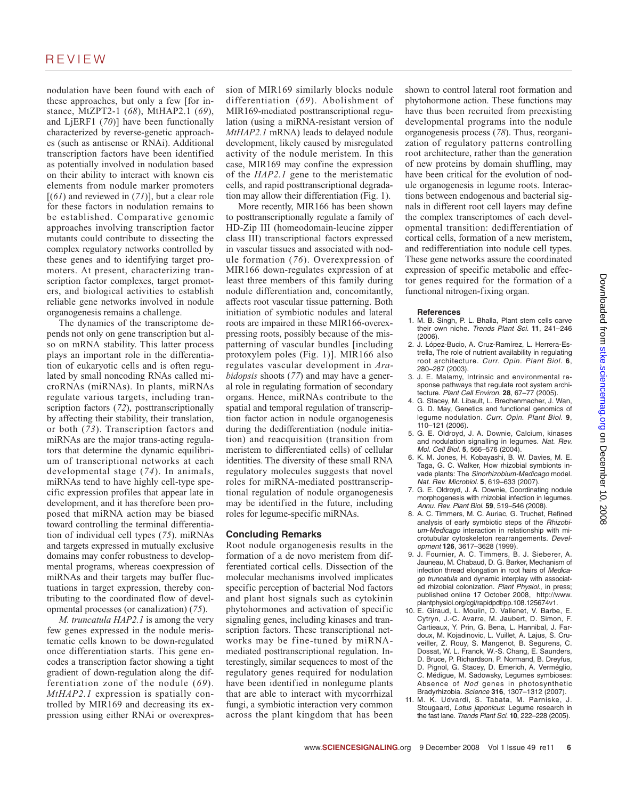nodulation have been found with each of these approaches, but only a few [for instance, MtZPT2-1 (*68*), MtHAP2.1 (*69*), and LjERF1 (*70*)] have been functionally characterized by reverse-genetic approaches (such as antisense or RNAi). Additional transcription factors have been identified as potentially involved in nodulation based on their ability to interact with known cis elements from nodule marker promoters [(*61*) and reviewed in (*71*)], but a clear role for these factors in nodulation remains to be established. Comparative genomic approaches involving transcription factor mutants could contribute to dissecting the complex regulatory networks controlled by these genes and to identifying target promoters. At present, characterizing transcription factor complexes, target promoters, and biological activities to establish reliable gene networks involved in nodule organogenesis remains a challenge.

The dynamics of the transcriptome depends not only on gene transcription but also on mRNA stability. This latter process plays an important role in the differentiation of eukaryotic cells and is often regulated by small noncoding RNAs called microRNAs (miRNAs). In plants, miRNAs regulate various targets, including transcription factors (*72*), posttranscriptionally by affecting their stability, their translation, or both (*73*). Transcription factors and miRNAs are the major trans-acting regulators that determine the dynamic equilibrium of transcriptional networks at each developmental stage (*74*). In animals, miRNAs tend to have highly cell-type specific expression profiles that appear late in development, and it has therefore been proposed that miRNA action may be biased toward controlling the terminal differentiation of individual cell types (*75*). miRNAs and targets expressed in mutually exclusive domains may confer robustness to developmental programs, whereas coexpression of miRNAs and their targets may buffer fluctuations in target expression, thereby contributing to the coordinated flow of developmental processes (or canalization) (*75*).

*M. truncatula HAP2.1* is among the very few genes expressed in the nodule meristematic cells known to be down-regulated once differentiation starts. This gene encodes a transcription factor showing a tight gradient of down-regulation along the differentiation zone of the nodule (*69*). *MtHAP2.1* expression is spatially controlled by MIR169 and decreasing its expression using either RNAi or overexpres-

sion of MIR169 similarly blocks nodule differentiation (*69*). Abolishment of MIR169-mediated posttranscriptional regulation (using a miRNA-resistant version of *MtHAP2.1* mRNA) leads to delayed nodule development, likely caused by misregulated activity of the nodule meristem. In this case, MIR169 may confine the expression of the *HAP2.1* gene to the meristematic cells, and rapid posttranscriptional degradation may allow their differentiation (Fig. 1).

More recently, MIR166 has been shown to posttranscriptionally regulate a family of HD-Zip III (homeodomain-leucine zipper class III) transcriptional factors expressed in vascular tissues and associated with nodule formation (*76*). Overexpression of MIR166 down-regulates expression of at least three members of this family during nodule differentiation and, concomitantly, affects root vascular tissue patterning. Both initiation of symbiotic nodules and lateral roots are impaired in these MIR166-overexpressing roots, possibly because of the mispatterning of vascular bundles [including protoxylem poles (Fig. 1)]. MIR166 also regulates vascular development in *Arabidopsis* shoots (*77*) and may have a general role in regulating formation of secondary organs. Hence, miRNAs contribute to the spatial and temporal regulation of transcription factor action in nodule organogenesis during the dedifferentiation (nodule initiation) and reacquisition (transition from meristem to differentiated cells) of cellular identities. The diversity of these small RNA regulatory molecules suggests that novel roles for miRNA-mediated posttranscriptional regulation of nodule organogenesis may be identified in the future, including roles for legume-specific miRNAs.

#### **Concluding Remarks**

Root nodule organogenesis results in the formation of a de novo meristem from differentiated cortical cells. Dissection of the molecular mechanisms involved implicates specific perception of bacterial Nod factors and plant host signals such as cytokinin phytohormones and activation of specific signaling genes, including kinases and transcription factors. These transcriptional networks may be fine-tuned by miRNAmediated posttranscriptional regulation. Interestingly, similar sequences to most of the regulatory genes required for nodulation have been identified in nonlegume plants that are able to interact with mycorrhizal fungi, a symbiotic interaction very common across the plant kingdom that has been

shown to control lateral root formation and phytohormone action. These functions may have thus been recruited from preexisting developmental programs into the nodule organogenesis process (*78*). Thus, reorganization of regulatory patterns controlling root architecture, rather than the generation of new proteins by domain shuffling, may have been critical for the evolution of nodule organogenesis in legume roots. Interactions between endogenous and bacterial signals in different root cell layers may define the complex transcriptomes of each developmental transition: dedifferentiation of cortical cells, formation of a new meristem, and redifferentiation into nodule cell types. These gene networks assure the coordinated expression of specific metabolic and effector genes required for the formation of a functional nitrogen-fixing organ.

#### **References**

- 1. M. B. Singh, P. L. Bhalla, Plant stem cells carve their own niche. Trends Plant Sci. **11**, 241–246  $(2006)$
- 2. J. López-Bucio, A. Cruz-Ramírez, L. Herrera-Estrella, The role of nutrient availability in regulating root architecture. Curr. Opin. Plant Biol. **6**, 280–287 (2003).
- 3. J. E. Malamy, Intrinsic and environmental response pathways that regulate root system architecture. Plant Cell Environ. **28**, 67–77 (2005).
- 4. G. Stacey, M. Libault, L. Brechenmacher, J. Wan, G. D. May, Genetics and functional genomics of legume nodulation. Curr. Opin. Plant Biol. **9**, 110–121 (2006).
- 5. G. E. Oldroyd, J. A. Downie, Calcium, kinases and nodulation signalling in legumes. Nat. Rev. Mol. Cell Biol. **5**, 566–576 (2004).
- 6. K. M. Jones, H. Kobayashi, B. W. Davies, M. E. Taga, G. C. Walker, How rhizobial symbionts invade plants: The Sinorhizobium-Medicago model. Nat. Rev. Microbiol. **5**, 619–633 (2007).
- 7. G. E. Oldroyd, J. A. Downie, Coordinating nodule morphogenesis with rhizobial infection in legumes. Annu. Rev. Plant Biol. **59**, 519–546 (2008).
- 8. A. C. Timmers, M. C. Auriac, G. Truchet, Refined analysis of early symbiotic steps of the Rhizobium-Medicago interaction in relationship with microtubular cytoskeleton rearrangements. Development **126**, 3617–3628 (1999).
- 9. J. Fournier, A. C. Timmers, B. J. Sieberer, A. Jauneau, M. Chabaud, D. G. Barker, Mechanism of infection thread elongation in root hairs of Medicago truncatula and dynamic interplay with associated rhizobial colonization. Plant Physiol. in press: published online 17 October 2008, http://www. plantphysiol.org/cgi/rapidpdf/pp.108.125674v1.
- 10. E. Giraud, L. Moulin, D. Vallenet, V. Barbe, E. Cytryn, J.-C. Avarre, M. Jaubert, D. Simon, F. Cartieaux, Y. Prin, G. Bena, L. Hannibal, J. Fardoux, M. Kojadinovic, L. Vuillet, A. Lajus, S. Cruveiller, Z. Rouy, S. Mangenot, B. Segurens, C. Dossat, W. L. Franck, W.-S. Chang, E. Saunders, D. Bruce, P. Richardson, P. Normand, B. Dreyfus, D. Pignol, G. Stacey, D. Emerich, A. Verméglio, C. Médigue, M. Sadowsky, Legumes symbioses: Absence of Nod genes in photosynthetic Bradyrhizobia. Science **316**, 1307–1312 (2007).
- 11. M. K. Udvardi, S. Tabata, M. Parniske, J. Stougaard, Lotus japonicus: Legume research in the fast lane. Trends Plant Sci. **10**, 222–228 (2005).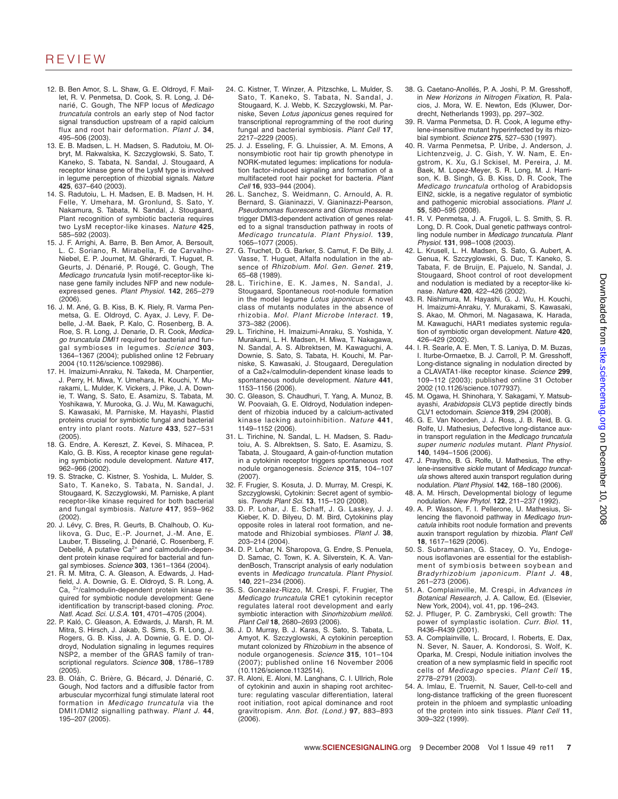- 12. B. Ben Amor, S. L. Shaw, G. E. Oldroyd, F. Maillet, R. V. Penmetsa, D. Cook, S. R. Long, J. Dénarié, C. Gough, The NFP locus of Medicago truncatula controls an early step of Nod factor signal transduction upstream of a rapid calcium flux and root hair deformation. Plant J. **34**, 495–506 (2003).
- 13. E. B. Madsen, L. H. Madsen, S. Radutoiu, M. Olbryt, M. Rakwalska, K. Szczyglowski, S. Sato, T. Kaneko, S. Tabata, N. Sandal, J. Stougaard, A receptor kinase gene of the LysM type is involved in legume perception of rhizobial signals. Nature **425**, 637–640 (2003).
- 14. S. Radutoiu, L. H. Madsen, E. B. Madsen, H. H. Felle, Y. Umehara, M. Gronlund, S. Sato, Y. Nakamura, S. Tabata, N. Sandal, J. Stougaard, Plant recognition of symbiotic bacteria requires two LysM receptor-like kinases. Nature **425**, 585–592 (2003).
- 15. J. F. Arrighi, A. Barre, B. Ben Amor, A. Bersoult, L. C. Soriano, R. Mirabella, F. de Carvalho-Niebel, E. P. Journet, M. Ghérardi, T. Huguet, R. Geurts, J. Dénarié, P. Rougé, C. Gough, The Medicago truncatula lysin motif-receptor-like kinase gene family includes NFP and new noduleexpressed genes. Plant Physiol. **142**, 265–279  $(2006)$
- 16. J. M. Ané, G. B. Kiss, B. K. Riely, R. Varma Penmetsa, G. E. Oldroyd, C. Ayax, J. Levy, F. Debelle, J.-M. Baek, P. Kalo, C. Rosenberg, B. A. Roe, S. R. Long, J. Denarie, D. R. Cook, Medicago truncatula DMI1 required for bacterial and fungal symbioses in legumes. Science **303**, 1364–1367 (2004); published online 12 February 2004 (10.1126/science.1092986).
- 17. H. Imaizumi-Anraku, N. Takeda, M. Charpentier, J. Perry, H. Miwa, Y. Umehara, H. Kouchi, Y. Murakami, L. Mulder, K. Vickers, J. Pike, J. A. Downie, T. Wang, S. Sato, E. Asamizu, S. Tabata, M. Yoshikawa, Y. Murooka, G. J. Wu, M. Kawaguchi, S. Kawasaki, M. Parniske, M. Hayashi, Plastid proteins crucial for symbiotic fungal and bacterial entry into plant roots. Nature **433**, 527–531 (2005).
- 18. G. Endre, A. Kereszt, Z. Kevei, S. Mihacea, P. Kalo, G. B. Kiss, A receptor kinase gene regulating symbiotic nodule development. Nature **417**, 962–966 (2002).
- 19. S. Stracke, C. Kistner, S. Yoshida, L. Mulder, S. Sato, T. Kaneko, S. Tabata, N. Sandal, J. Stougaard, K. Szczyglowski, M. Parniske, A plant receptor-like kinase required for both bacterial and fungal symbiosis. Nature **417**, 959–962 (2002).
- 20. J. Lévy, C. Bres, R. Geurts, B. Chalhoub, O. Kulikova, G. Duc, E.-P. Journet, J.-M. Ane, E. Lauber, T. Bisseling, J. Dénarié, C. Rosenberg, F. Debellé, A putative Ca<sup>2+</sup> and calmodulin-dependent protein kinase required for bacterial and fungal symbioses. Science **303**, 1361–1364 (2004).
- 21. R. M. Mitra, C. A. Gleason, A. Edwards, J. Hadfield, J. A. Downie, G. E. Oldroyd, S. R. Long, A. Ca, 2+/calmodulin-dependent protein kinase required for symbiotic nodule development: Gene identification by transcript-based cloning. Proc. Natl. Acad. Sci. U.S.A. **101**, 4701–4705 (2004).
- 22. P. Kaló, C. Gleason, A. Edwards, J. Marsh, R. M. Mitra, S. Hirsch, J. Jakab, S. Sims, S. R. Long, J. Rogers, G. B. Kiss, J. A. Downie, G. E. D. Oldroyd, Nodulation signaling in legumes requires NSP2, a member of the GRAS family of transcriptional regulators. Science **308**, 1786–1789 (2005).
- 23. B. Oláh, C. Brière, G. Bécard, J. Dénarié, C. Gough, Nod factors and a diffusible factor from arbuscular mycorrhizal fungi stimulate lateral root formation in Medicago truncatula via the DMI1/DMI2 signalling pathway. Plant J. **44**, 195–207 (2005).
- 24. C. Kistner, T. Winzer, A. Pitzschke, L. Mulder, S. Sato, T. Kaneko, S. Tabata, N. Sandal, J. Stougaard, K. J. Webb, K. Szczyglowski, M. Parniske, Seven Lotus japonicus genes required for transcriptional reprogramming of the root during fungal and bacterial symbiosis. Plant Cell **17**, 2217–2229 (2005).
- 25. J. J. Esseling, F. G. Lhuissier, A. M. Emons, A nonsymbiotic root hair tip growth phenotype in NORK-mutated legumes: implications for nodulation factor-induced signaling and formation of a multifaceted root hair pocket for bacteria. Plant Cell **16**, 933–944 (2004).
- 26. L. Sanchez, S. Weidmann, C. Arnould, A. R. Bernard, S. Gianinazzi, V. Gianinazzi-Pearson, Pseudomonas fluorescens and Glomus mosseae trigger DMI3-dependent activation of genes related to a signal transduction pathway in roots of Medicago truncatula. Plant Physiol. **139**, 1065–1077 (2005).
- 27. G. Truchet, D. G. Barker, S. Camut, F. De Billy, J. Vasse, T. Huguet, Alfalfa nodulation in the absence of Rhizobium. Mol. Gen. Genet. **219**, 65–68 (1989).
- 28. L. Tirichine, E. K. James, N. Sandal, J. Stougaard, Spontaneous root-nodule formation in the model legume Lotus japonicus: A novel class of mutants nodulates in the absence of rhizobia. Mol. Plant Microbe Interact. **19**, 373–382 (2006).
- 29. L. Tirichine, H. Imaizumi-Anraku, S. Yoshida, Y. Murakami, L. H. Madsen, H. Miwa, T. Nakagawa, N. Sandal, A. S. Albrektsen, M. Kawaguchi, A. Downie, S. Sato, S. Tabata, H. Kouchi, M. Parniske, S. Kawasaki, J. Stougaard, Deregulation of a Ca2+/calmodulin-dependent kinase leads to spontaneous nodule development. Nature **441**, 1153–1156 (2006).
- 30. C. Gleason, S. Chaudhuri, T. Yang, A. Munoz, B. W. Poovaiah, G. E. Oldroyd, Nodulation independent of rhizobia induced by a calcium-activated kinase lacking autoinhibition. Nature **441**, 1149–1152 (2006).
- 31. L. Tirichine, N. Sandal, L. H. Madsen, S. Radutoiu, A. S. Albrektsen, S. Sato, E. Asamizu, S. Tabata, J. Stougaard, A gain-of-function mutation in a cytokinin receptor triggers spontaneous root nodule organogenesis. Science **315**, 104–107 (2007).
- 32. F. Frugier, S. Kosuta, J. D. Murray, M. Crespi, K. Szczyglowski, Cytokinin: Secret agent of symbiosis. Trends Plant Sci. **13**, 115–120 (2008).
- 33. D. P. Lohar, J. E. Schaff, J. G. Laskey, J. J. Kieber, K. D. Bilyeu, D. M. Bird, Cytokinins play opposite roles in lateral root formation, and nematode and Rhizobial symbioses. Plant J. **38**, 203–214 (2004).
- 34. D. P. Lohar, N. Sharopova, G. Endre, S. Penuela, D. Samac, C. Town, K. A. Silverstein, K. A. VandenBosch, Transcript analysis of early nodulation events in Medicago truncatula. Plant Physiol. 1**40**, 221–234 (2006).
- 35. S. Gonzalez-Rizzo, M. Crespi, F. Frugier, The Medicago truncatula CRE1 cytokinin receptor regulates lateral root development and early symbiotic interaction with Sinorhizobium meliloti. Plant Cell **18**, 2680–2693 (2006).
- 36. J. D. Murray, B. J. Karas, S. Sato, S. Tabata, L. Amyot, K. Szczyglowski, A cytokinin perception mutant colonized by Rhizobium in the absence of nodule organogenesis. Science **315**, 101–104 (2007); published online 16 November 2006 (10.1126/science.1132514).
- 37. R. Aloni, E. Aloni, M. Langhans, C. I. Ullrich, Role of cytokinin and auxin in shaping root architecture: regulating vascular differentiation, lateral root initiation, root apical dominance and root gravitropism. Ann. Bot. (Lond.) **97**, 883–893 (2006).
- 38. G. Caetano-Anollés, P. A. Joshi, P. M. Gresshoff, in New Horizons in Nitrogen Fixation, R. Palacios, J. Mora, W. E. Newton, Eds (Kluwer, Dordrecht, Netherlands 1993), pp. 297–302.
- 39. R. Varma Penmetsa, D. R. Cook, A legume ethylene-insensitive mutant hyperinfected by its rhizobial symbiont. Science **275**, 527–530 (1997).
- 40. R. Varma Penmetsa, P. Uribe, J. Anderson, J. Lichtenzveig, J. C. Gish, Y. W. Nam, E. Engstrom, K. Xu, G.l Sckisel, M. Pereira, J. M. Baek, M. Lopez-Meyer, S. R. Long, M. J. Harrison, K. B. Singh, G. B. Kiss, D. R. Cook, The Medicago truncatula ortholog of Arabidopsis EIN2, sickle, is a negative regulator of symbiotic and pathogenic microbial associations. Plant J. **55**, 580–595 (2008).
- 41. R. V. Penmetsa, J. A. Frugoli, L. S. Smith, S. R. Long, D. R. Cook, Dual genetic pathways controlling nodule number in Medicago truncatula. Plant Physiol. **131**, 998–1008 (2003).
- 42. L. Krusell, L. H. Madsen, S. Sato, G. Aubert, A. Genua, K. Szczyglowski, G. Duc, T. Kaneko, S. Tabata, F. de Bruijn, E. Pajuelo, N. Sandal, J. Stougaard, Shoot control of root development and nodulation is mediated by a receptor-like kinase. Nature **420**, 422–426 (2002).
- 43. R. Nishimura, M. Hayashi, G. J. Wu, H. Kouchi, H. Imaizumi-Anraku, Y. Murakami, S. Kawasaki, S. Akao, M. Ohmori, M. Nagasawa, K. Harada, M. Kawaguchi, HAR1 mediates systemic regulation of symbiotic organ development. Nature **420**, 426–429 (2002).
- 44. I. R. Searle, A. E. Men, T. S. Laniya, D. M. Buzas, I. Iturbe-Ormaetxe, B. J. Carroll, P. M. Gresshoff, Long-distance signaling in nodulation directed by a CLAVATA1-like receptor kinase. Science **299**, 109–112 (2003); published online 31 October 2002 (10.1126/science.1077937).
- 45. M. Ogawa, H. Shinohara, Y. Sakagami, Y. Matsubayashi, Arabidopsis CLV3 peptide directly binds CLV1 ectodomain. Science **319**, 294 (2008).
- 46. G. E. Van Noorden, J. J. Ross, J. B. Reid, B. G. Rolfe, U. Mathesius, Defective long-distance auxin transport regulation in the Medicago truncatula super numeric nodules mutant. Plant Physiol. **140**, 1494–1506 (2006).
- 47. J. Prayitno, B. G. Rolfe, U. Mathesius, The ethylene-insensitive sickle mutant of Medicago truncatula shows altered auxin transport regulation during nodulation. Plant Physiol. **142**, 168–180 (2006).
- 48. A. M. Hirsch, Developmental biology of legume nodulation. New Phytol. **122**, 211–237 (1992).
- 49. A. P. Wasson, F. I. Pellerone, U. Mathesius, Silencing the flavonoid pathway in Medicago truncatula inhibits root nodule formation and prevents auxin transport regulation by rhizobia. Plant Cell **18**, 1617–1629 (2006).
- 50. S. Subramanian, G. Stacey, O. Yu, Endogenous isoflavones are essential for the establishment of symbiosis between soybean and Bradyrhizobium japonicum. Plant J. **48**, 261–273 (2006).
- 51. A. Complainville, M. Crespi, in Advances in Botanical Research, J. A. Callow, Ed. (Elsevier, New York, 2004), vol. 41, pp. 196–243.
- 52. J. Pfluger, P. C. Zambryski, Cell growth: The power of symplastic isolation. Curr. Biol. **11**, R436–R439 (2001).
- 53. A. Complainville, L. Brocard, I. Roberts, E. Dax, N. Sever, N. Sauer, A. Kondorosi, S. Wolf, K. Oparka, M. Crespi, Nodule initiation involves the creation of a new symplasmic field in specific root cells of Medicago species. Plant Cell **15**, 2778–2791 (2003).
- 54. A. Imlau, E. Truernit, N. Sauer, Cell-to-cell and long-distance trafficking of the green fluorescent protein in the phloem and symplastic unloading of the protein into sink tissues. Plant Cell **11**, 309–322 (1999).